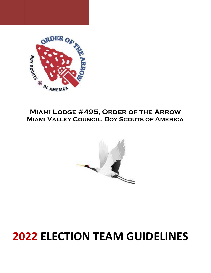

# Miami Valley Council, Boy Scouts of America



# 2022 ELECTION TEAM GUIDELINES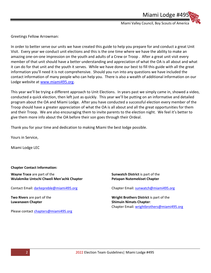Miami Valley Council, Boy Scouts of America

Miami Lodge #49

Greetings Fellow Arrowman:

In order to better serve our units we have created this guide to help you prepare for and conduct a great Unit Visit. Every year we conduct unit elections and this is the one time where we have the ability to make an amazing one-on-one impression on the youth and adults of a Crew or Troop . After a great unit visit every member of that unit should have a better understanding and appreciation of what the OA is all about and what it can do for that unit and the youth it serves. While we have done our best to fill this guide with all the great information you'll need it is not comprehensive. Should you run into any questions we have included the contact information of many people who can help you. There is also a wealth of additional information on our Lodge website at www.miami495.org.

This year we'll be trying a different approach to Unit Elections. In years past we simply came in, showed a video, conducted a quick election, then left just as quickly. This year we'll be putting on an informative and detailed program about the OA and Miami Lodge. After you have conducted a successful election every member of the Troop should have a greater appreciation of what the OA is all about and all the great opportunities for them and their Troop. We are also encouraging them to invite parents to the election night. We feel it's better to give them more info about the OA before their son goes through their Ordeal.

Thank you for your time and dedication to making Miami the best lodge possible.

Yours in Service,

Miami Lodge LEC

Chapter Contact Information:

Wayne Trace are part of the Wulakmike Untschi Chweli Men'achk Chapter

Contact Email: darkepreble@miami495.org

Two Rivers are part of the Luwanaxen Chapter

Please contact chapters@miami495.org

Sunwatch District is part of the Petapan Nutemekiset Chapter

Chapter Email: sunwatch@miami495.org

Wright Brothers District is part of the Shimuin Nimats Chapter: Chapter Email: wrightbrothers@miami495.org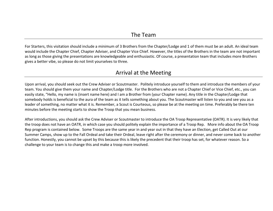For Starters, this visitation should include a minimum of 3 Brothers from the Chapter/Lodge and 1 of them must be an adult. An ideal team would include the Chapter Chief, Chapter Adviser, and Chapter Vice Chief. However, the titles of the Brothers in the team are not important as long as those giving the presentations are knowledgeable and enthusiastic. Of course, a presentation team that includes more Brothers gives a better vibe, so please do not limit yourselves to three.

## Arrival at the Meeting

Upon arrival, you should seek out the Crew Adviser or Scoutmaster. Politely introduce yourself to them and introduce the members of your team. You should give them your name and Chapter/Lodge title. For the Brothers who are not a Chapter Chief or Vice Chief, etc., you can easily state, "Hello, my name is (insert name here) and I am a Brother from (your Chapter name). Any title in the Chapter/Lodge that somebody holds is beneficial to the aura of the team as it tells something about you. The Scoutmaster will listen to you and see you as a leader of something, no matter what it is. Remember, a Scout is Courteous, so please be at the meeting on time. Preferably be there ten minutes before the meeting starts to show the Troop that you mean business.

After introductions, you should ask the Crew Adviser or Scoutmaster to introduce the OA Troop Representative (OATR). It is very likely that the troop does not have an OATR, in which case you should politely explain the importance of a Troop Rep. More info about the OA Troop Rep program is contained below. Some Troops are the same year in and year out in that they have an Election, get Called Out at our Summer Camps, show up to the Fall Ordeal and take their Ordeal, leave right after the ceremony or dinner, and never come back to another function. Honestly, you cannot be upset by this because this is likely the precedent that their troop has set, for whatever reason. So a challenge to your team is to change this and make a troop more involved.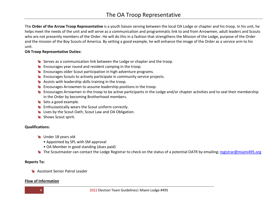The Order of the Arrow Troop Representative is a youth liaison serving between the local OA Lodge or chapter and his troop. In his unit, he helps meet the needs of the unit and will serve as a communication and programmatic link to and from Arrowmen, adult leaders and Scouts who are not presently members of the Order. He will do this in a fashion that strengthens the Mission of the Lodge, purpose of the Order and the mission of the Boy Scouts of America. By setting a good example, he will enhance the image of the Order as a service arm to his unit.

#### OA Troop Representative Duties:

- Serves as a communication link between the Lodge or chapter and the troop.
- **Encourages year round and resident camping in the troop.**
- **Encourages older Scout participation in high adventure programs.**
- Encourages Scouts to actively participate in community service projects.
- **Assists with leadership skills training in the troop.**
- **Encourages Arrowmen to assume leadership positions in the troop.**
- **Encourages Arrowmen in the troop to be active participants in the Lodge and/or chapter activities and to seal their membership** in the Order by becoming Brotherhood members.
- Sets a good example.
- **Enthusiastically wears the Scout uniform correctly.**
- **Example 2** Lives by the Scout Oath, Scout Law and OA Obligation.
- Shows Scout spirit.

### Qualifications:

- **W** Under 18 years old
	- Appointed by SPL with SM approval
	- OA Member in good standing (dues paid)
- The Scoutmaster can contact the Lodge Registrar to check on the status of a potential OATR by emailing; registrar@miami495.org

#### Reports To:

**Assistant Senior Patrol Leader** 

#### Flow of Information

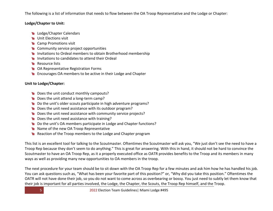The following is a list of information that needs to flow between the OA Troop Representative and the Lodge or Chapter:

### Lodge/Chapter to Unit:

- **Lodge/Chapter Calendars**
- **W** Unit Elections visit
- **Camp Promotions visit**
- **Community service project opportunities**
- Invitations to Ordeal members to obtain Brotherhood membership
- Invitations to candidates to attend their Ordeal
- **Resource lists**
- **SCHO** OA Representative Registration Forms
- **Encourages OA members to be active in their Lodge and Chapter**

#### Unit to Lodge/Chapter:

- **Does the unit conduct monthly campouts?**
- Does the unit attend a long-term camp?
- Do the unit's older scouts participate in high adventure programs?
- Does the unit need assistance with its outdoor program?
- Does the unit need assistance with community service projects?
- **Does the unit need assistance with training?**
- Do the unit's OA members participate in Lodge and Chapter functions?
- **Mame of the new OA Troop Representative**
- Reaction of the Troop members to the Lodge and Chapter program

This list is an excellent tool for talking to the Scoutmaster. Oftentimes the Scoutmaster will ask you, "We just don't see the need to have a Troop Rep because they don't seem to do anything." This is great for answering. With this in hand, it should not be hard to convince the Scoutmaster to have an OA Troop Rep, as it a properly executed office as OATR provides benefits to the Troop and its members in many ways as well as providing many new opportunities to OA members in the troop.

The next procedure for your team should be to sit down with the OA Troop Rep for a few minutes and ask him how he has handled his job. You can ask questions such as, "What has been your favorite part of this position?" or, "Why did you take this position." Oftentimes the OATR will not have done their job, so you do not want to come across as overbearing or bossy. You just need to subtly let them know that their job is important for all parties involved, the Lodge, the Chapter, the Scouts, the Troop Rep himself, and the Troop.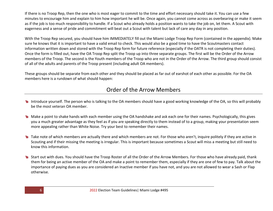If there is no Troop Rep, then the one who is most eager to commit to the time and effort necessary should take it. You can use a few minutes to encourage him and explain to him how important he will be. Once again, you cannot come across as overbearing or make it seem as if the job is too much responsibility to handle. If a Scout who already holds a position wants to take the job on, let them. A Scout with eagerness and a sense of pride and commitment will beat out a Scout with talent but lack of care any day in any position.

With the Troop Rep secured, you should have him IMMEDIATELY fill out the Miami Lodge Troop Rep Form (contained in the appendix). Make sure he knows that it is important to have a valid email to check. This would also be a good time to have the Scoutmasters contact information written down and stored with the Troop Rep form for future reference (especially if the OATR is not completing their duties). Once the form is filled out, have the OA Troop Rep split the Troop up into three separate groups. The first will be the Order of the Arrow members of the Troop. The second is the Youth members of the Troop who are not in the Order of the Arrow. The third group should consist of all of the adults and parents of the Troop present (including adult OA members).

These groups should be separate from each other and they should be placed as far out of earshot of each other as possible. For the OA members here is a rundown of what should happen:

## Order of the Arrow Members

- Introduce yourself. The person who is talking to the OA members should have a good working knowledge of the OA, so this will probably be the most veteran OA member.
- Make a point to shake hands with each member using the OA handshake and ask each one for their names. Psychologically, this gives you a much greater advantage as they feel as if you are speaking directly to them instead of to a group, making your presentation seem more appealing rather than White Noise. Try your best to remember their names.
- Take note of which members are actually there and which members are not. For those who aren't, inquire politely if they are active in Scouting and if their missing the meeting is irregular. This is important because sometimes a Scout will miss a meeting but still need to know this information.
- Start out with dues. You should have the Troop Roster of all the Order of the Arrow Members. For those who have already paid, thank them for being an active member of the OA and make a point to remember them, especially if they are one of few to pay. Talk about the importance of paying dues as you are considered an Inactive member if you have not, and you are not allowed to wear a Sash or Flap otherwise.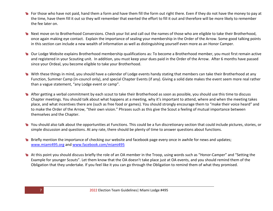- **SCOTT THE FOR THE THE THE TEM** For those who have not paid, hand them a form and have then fill the form out right there. Even if they do not have the money to pay at the time, have them fill it out so they will remember that exerted the effort to fill it out and therefore will be more likely to remember the fee later on.
- Next move on to Brotherhood Conversions. Check your list and call out the names of those who are eligible to take their Brotherhood, once again making eye contact. Explain the importance of sealing your membership in the Order of the Arrow. Some good talking points in this section can include a new wealth of information as well as distinguishing yourself even more as an Honor Camper.
- Our Lodge Website explains Brotherhood membership qualifications as: To become a Brotherhood member, you must first remain active and registered in your Scouting unit. In addition, you must keep your dues paid in the Order of the Arrow. After 6 months have passed since your Ordeal, you become eligible to take your Brotherhood.
- With these things in mind, you should have a calendar of Lodge events handy stating that members can take their Brotherhood at any Function, Summer Camp (in-council only), and special Chapter Events (if any). Giving a solid date makes the event seem more real rather than a vague statement, "any Lodge event or camp".
- After getting a verbal commitment by each scout to take their Brotherhood as soon as possible, you should use this time to discuss Chapter meetings. You should talk about what happens at a meeting, why it's important to attend, where and when the meeting takes place, and what incentives there are (such as free food or games). You should strongly encourage them to "make their voice heard" and to make the Order of the Arrow, "their own vision." Phrases such as this give the Scout a feeling of mutual importance between themselves and the Chapter.
- You should also talk about the opportunities at Functions. This could be a fun discretionary section that could include pictures, stories, or simple discussion and questions. At any rate, there should be plenty of time to answer questions about functions.
- Briefly mention the importance of checking our website and facebook page every once in awhile for news and updates; www.miami495.org and www.facebook.com/miami495
- At this point you should discuss briefly the role of an OA member in the Troop, using words such as "Honor-Camper" and "Setting the Example for younger Scouts". Let them know that the OA doesn't take place just at OA events, and you should remind them of the Obligation that they undertake. If you feel like it you can go through the Obligation to remind them of what they promised.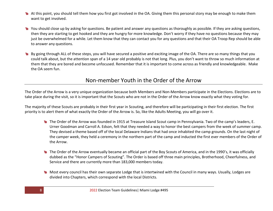- At this point, you should tell them how you first got involved in the OA. Giving them this personal story may be enough to make them want to get involved.
- You should close up by asking for questions. Be patient and answer any questions as thoroughly as possible. If they are asking questions, then they are starting to get hooked and they are hungry for more knowledge. Don't worry if they have no questions because they may just be overwhelmed for a while. Let them know that they can contact you for any questions and that their OA Troop Rep should be able to answer any questions.
- By going through ALL of these steps, you will have secured a positive and exciting image of the OA. There are so many things that you could talk about, but the attention span of a 14 year old probably is not that long. Plus, you don't want to throw so much information at them that they are bored and become unfocused. Remember that it is important to come across as friendly and knowledgeable. Make the OA seem fun.

## Non-member Youth in the Order of the Arrow

The Order of the Arrow is a very unique organization because both Members and Non-Members participate in the Elections. Elections are to take place during the visit, so it is important that the Scouts who are not in the Order of the Arrow know exactly what they voting for.

The majority of these Scouts are probably in their first year in Scouting, and therefore will be participating in their first election. The first priority is to alert them of what exactly the Order of the Arrow is. So, like the Adults Meeting, you will go over it.

- The Order of the Arrow was founded in 1915 at Treasure Island Scout camp in Pennsylvania. Two of the camp's leaders, E. Urner Goodman and Carroll A. Edson, felt that they needed a way to honor the best campers from the week of summer camp. They devised a theme based off of the local Delaware Indians that had once inhabited the camp grounds. On the last night of the camper week, they held a ceremony in the northern part of the camp and inducted the first ever members of the Order of the Arrow.
- The Order of the Arrow eventually became an official part of the Boy Scouts of America, and in the 1990's, it was officially dubbed as the "Honor Campers of Scouting". The Order is based off three main principles, Brotherhood, Cheerfulness, and Service and there are currently more than 183,000 members today.
- Most every council has their own separate Lodge that is intertwined with the Council in many ways. Usually, Lodges are divided into Chapters, which correspond with the local Districts.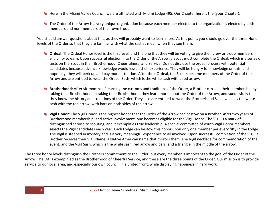- Here in the Miami Valley Council, we are affiliated with Miami Lodge 495. Our Chapter here is the (your Chapter).
- The Order of the Arrow is a very unique organization because each member elected to the organization is elected by both members and non-members of their own troop.

You should answer questions about this, as they will probably want to learn more. At this point, you should go over the three Honor levels of the Order so that they are familiar with what the sashes mean when they see them.

- **Ordeal:** The Ordeal Honor level is the first level, and the one that they will be voting to give their crew or troop members eligibility to earn. Upon successful election into the Order of the Arrow, a Scout must complete the Ordeal, which is a series of tests on the Scout in their Brotherhood, Cheerfulness, and Service. Do not disclose the ordeal process with potential candidates because advance knowledge would lessen their experience. They will be hungry for knowledge on this, and hopefully, they will perk up and pay more attention. After their Ordeal, the Scouts become members of the Order of the Arrow and are entitled to wear the Ordeal Sash, which is the white sash with a red arrow.
- Brotherhood: After six months of learning the customs and traditions of the Order, a Brother can seal their membership by taking their Brotherhood. In taking their Brotherhood, they learn more about the Order of the Arrow, and successfully that they know the history and traditions of the Order. They also are entitled to wear the Brotherhood Sash, which is the white sash with the red arrow, with bars on both sides of the arrow.
- **W** Vigil Honor: The Vigil Honor is the highest honor that the Order of the Arrow can bestow on a Brother. After two years of Brotherhood membership, and active involvement, one becomes eligible for the Vigil Honor. The Vigil is a mark of distinguished service to scouting, and it exemplifies true leadership. A special committee of youth Vigil Honor members selects the Vigil candidates each year. Each Lodge can bestow this honor upon only one member per every fifty in the Lodge. The Vigil is steeped in mystery and is a very meaningful experience to all involved. Upon successful completion of the Vigil, a Brother receives their Vigil Name, a Native American name that mirrors them, The Vigil necklace for commemoration of the event, and the Vigil Sash, which is the white sash, red arrow and bars, and a triangle in the middle of the arrow.

The three honor levels distinguish the Brothers commitment to the Order, but every member is important to the goal of the Order of the Arrow. The OA is exemplified as the Brotherhood of Cheerful Service, and these are the three points of the Order. Our mission is to provide service to our local area, and especially our own council, in a united front, while displaying happiness in hard work.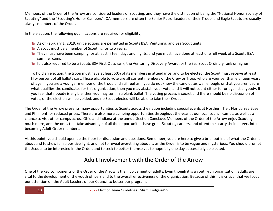Members of the Order of the Arrow are considered leaders of Scouting, and they have the distinction of being the "National Honor Society of Scouting" and the "Scouting's Honor Campers". OA members are often the Senior Patrol Leaders of their Troop, and Eagle Scouts are usually always members of the Order.

In the election, the following qualifications are required for eligibility;

- As of February 1, 2019, unit elections are permitted in Scouts BSA, Venturing, and Sea Scout units
- A Scout must be a member of Scouting for two years.
- They must have been camping for at least fifteen days and nights, and you must have done at least one full week of a Scouts BSA summer camp.
- It is also required to be a Scouts BSA First Class rank, the Venturing Discovery Award, or the Sea Scout Ordinary rank or higher

To hold an election, the troop must have at least 50% of its members in attendance, and to be elected, the Scout must receive at least fifty percent of all ballots cast. Those eligible to vote are all current members of the Crew or Troop who are younger than eighteen years of age. If you are a younger member of the troop and still feel as if you do not know the candidates well enough, or that you aren't sure what qualifies the candidates for this organization, then you may abstain your vote, and it will not count either for or against anybody. If you feel that nobody is eligible, then you may turn in a blank ballot. The voting process is secret and there should be no discussion of votes, or the election will be voided, and no Scout elected will be able to take their Ordeal.

The Order of the Arrow presents many opportunities to Scouts across the nation including special events at Northern Tier, Florida Sea Base, and Philmont for reduced prices. There are also more camping opportunities throughout the year at our local council camps, as well as a chance to visit other camps across Ohio and Indiana at the annual Section Conclave. Members of the Order of the Arrow enjoy Scouting much more, and the ones that take advantage of all the opportunities have great Scouting careers, and oftentimes carry their careers into becoming Adult Order members.

At this point, you should open up the floor for discussion and questions. Remember, you are here to give a brief outline of what the Order is about and to show it in a positive light, and not to reveal everything about it, as the Order is to be vague and mysterious. You should prompt the Scouts to be interested in the Order, and to seek to better themselves to hopefully one day successfully be elected.

# Adult Involvement with the Order of the Arrow

One of the key components of the Order of the Arrow is the involvement of adults. Even though it is a youth-run organization, adults are vital to the development of the youth officers and to the overall effectiveness of the organization. Because of this, it is critical that we focus our attention on the Adult Leaders of our Council to better our program.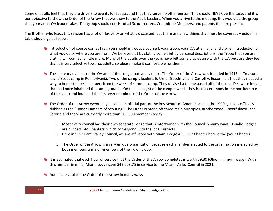Some of adults feel that they are drivers to events for Scouts, and that they serve no other person. This should NEVER be the case, and it is our objective to show the Order of the Arrow that we know to the Adult Leaders. When you arrive to the meeting, this would be the group that your adult OA leader takes. This group should consist of all Scoutmasters, Committee Members, and parents that are present.

The Brother who leads this session has a lot of flexibility on what is discussed, but there are a few things that must be covered. A guideline table should go as follows

- Introduction of course comes first. You should introduce yourself, your troop, your OA title if any, and a brief introduction of what you do or where you are from. We believe that by stating some slightly personal descriptions, the Troop that you are visiting will connect a little more. Many of the adults over the years have felt some displeasure with the OA because they feel that it is very selective towards adults, so please make it comfortable for them.
- These are many facts of the OA and of the Lodge that you can use. The Order of the Arrow was founded in 1915 at Treasure Island Scout camp in Pennsylvania. Two of the camp's leaders, E. Urner Goodman and Carroll A. Edson, felt that they needed a way to honor the best campers from the week of summer camp. They devised a theme based off of the local Delaware Indians that had once inhabited the camp grounds. On the last night of the camper week, they held a ceremony in the northern part of the camp and inducted the first ever members of the Order of the Arrow.
- The Order of the Arrow eventually became an official part of the Boy Scouts of America, and in the 1990's, it was officially dubbed as the "Honor Campers of Scouting". The Order is based off three main principles, Brotherhood, Cheerfulness, and Service and there are currently more than 183,000 members today.
	- $\circ$  Most every council has their own separate Lodge that is intertwined with the Council in many ways. Usually, Lodges are divided into Chapters, which correspond with the local Districts.
	- o Here in the Miami Valley Council, we are affiliated with Miami Lodge 495. Our Chapter here is the (your Chapter).
	- $\circ$  The Order of the Arrow is a very unique organization because each member elected to the organization is elected by both members and non-members of their own troop.
- It is estimated that each hour of service that the Order of the Arrow completes is worth \$9.30 (Ohio minimum wage). With this number in mind, Miami Lodge gave \$43,008.75 in service to the Miami Valley Council in 2021.
- Adults are vital to the Order of the Arrow in many ways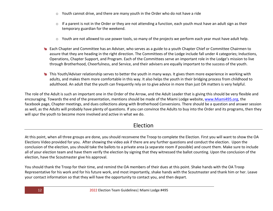- o Youth cannot drive, and there are many youth in the Order who do not have a ride
- $\circ$  If a parent is not in the Order or they are not attending a function, each youth must have an adult sign as their temporary guardian for the weekend.
- o Youth are not allowed to use power tools, so many of the projects we perform each year must have adult help.
- Each Chapter and Committee has an Adviser, who serves as a guide to a youth Chapter Chief or Committee Chairmen to assure that they are heading in the right direction. The Committees of the Lodge include fall under 4 categories; Inductions, Operations, Chapter Support, and Program. Each of the Committees serve an important role in the Lodge's mission to live through Brotherhood, Cheerfulness, and Service, and their advisers are equally important to the success of the youth.
- This Youth/Adviser relationship serves to better the youth in many ways. It gives them more experience in working with adults, and makes them more comfortable in this way. It also helps the youth in their bridging process from childhood to adulthood. An adult that the youth can frequently rely on to give advice in more than just OA matters is very helpful.

The role of the Adult is such an important one in the Order of the Arrow, and the Adult Leader that is giving this should be very flexible and encouraging. Towards the end of the presentation, mentions should be made of the Miami Lodge website, www.Miami495.org, the facebook page, Chapter meetings, and dues collections along with Brotherhood Conversions. There should be a question and answer session as well, as the Adults will probably have plenty of questions. If you can convince the Adults to buy into the Order and its programs, then they will spur the youth to become more involved and active in what we do.

# Election

At this point, when all three groups are done, you should reconvene the Troop to complete the Election. First you will want to show the OA Elections Video provided for you. After showing the video ask if there are any further questions and conduct the election. Upon the conclusion of the election, you should take the ballots to a private area (a separate room if possible) and count them. Make sure to include all of your election team and have them verify the election by signing that they witnessed the ballot counting. Upon the conclusion of the election, have the Scoutmaster give his approval.

You should thank the Troop for their time, and remind the OA members of their dues at this point. Shake hands with the OA Troop Representative for his work and for his future work, and most importantly, shake hands with the Scoutmaster and thank him or her. Leave your contact information so that they will have the opportunity to contact you, and then depart.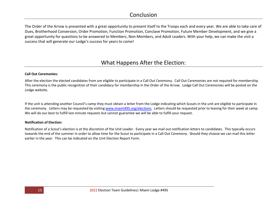## Conclusion

The Order of the Arrow is presented with a great opportunity to present itself to the Troops each and every year. We are able to take care of Dues, Brotherhood Conversion, Order Promotion, Function Promotion, Conclave Promotion, Future Member Development, and we give a great opportunity for questions to be answered to Members, Non-Members, and Adult Leaders. With your help, we can make the visit a success that will generate our Lodge's success for years to come!

## What Happens After the Election:

#### Call Out Ceremonies:

After the election the elected candidates from are eligible to participate in a Call Out Ceremony. Call Out Ceremonies are not required for membership. This ceremony is the public recognition of their candidacy for membership in the Order of the Arrow. Lodge Call Out Ceremonies will be posted on the Lodge website.

If the unit is attending another Council's camp they must obtain a letter from the Lodge indicating which Scouts in the unit are eligible to participate in the ceremony. Letters may be requested by visiting www.miami495.org/elections. Letters should be requested prior to leaving for their week at camp. We will do our best to fulfill last-minute requests but cannot guarantee we will be able to fulfill your request.

#### Notification of Election:

Notification of a Scout's election is at the discretion of the Unit Leader. Every year we mail out notification letters to candidates. This typically occurs towards the end of the summer in order to allow time for the Scout to participate in a Call Out Ceremony. Should they choose we can mail this letter earlier in the year. This can be indicated on the Unit Election Report Form.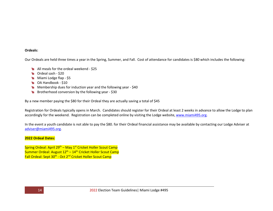#### Ordeals:

Our Ordeals are held three times a year in the Spring, Summer, and Fall. Cost of attendance for candidates is \$80 which includes the following:

- All meals for the ordeal weekend \$25
- **Condeal sash \$20**
- **Miami Lodge flap \$5**
- **B** OA Handbook \$10
- Membership dues for induction year and the following year \$40
- Brotherhood conversion by the following year \$30

By a new member paying the \$80 for their Ordeal they are actually saving a total of \$45

Registration for Ordeals typically opens in March. Candidates should register for their Ordeal at least 2 weeks in advance to allow the Lodge to plan accordingly for the weekend. Registration can be completed online by visiting the Lodge website, www.miami495.org.

In the event a youth candidate is not able to pay the \$80. for their Ordeal financial assistance may be available by contacting our Lodge Adviser at adviser@miami495.org.

#### 2022 Ordeal Dates:

Spring Ordeal: April 29<sup>th</sup> – May 1<sup>st</sup> Cricket Holler Scout Camp Summer Ordeal: August 12<sup>th</sup> – 14<sup>th</sup> Cricket Holler Scout Camp Fall Ordeal: Sept 30<sup>th</sup> - Oct 2<sup>nd</sup> Cricket Holler Scout Camp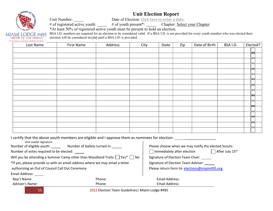## Unit Election Report

Unit Number: Date of Election: Click here to enter a date.

# of registered active youth:  $\qquad$  # of youth present\*: Chapter: Select your Chapter

\*At least 50% of registered active youth must be present to hold an election.

BSA I.D. numbers are required for an election to be considered valid. If a BSA I.D. is not provided for every youth member who was elected their election will be considered invalid until a BSA I.D. is provided.

| MIAMI LODGE #495<br>ORDER OF THE ARROW |
|----------------------------------------|
| "SCOLITING'S NATIONAL HONOR SOCIETY"   |

| Last Name | First Name | Address | City | State | Zip | Date of Birth $ $ | BSA I.D. | Elected? |
|-----------|------------|---------|------|-------|-----|-------------------|----------|----------|
|           |            |         |      |       |     |                   |          |          |
|           |            |         |      |       |     |                   |          |          |
|           |            |         |      |       |     |                   |          |          |
|           |            |         |      |       |     |                   |          |          |
|           |            |         |      |       |     |                   |          |          |
|           |            |         |      |       |     |                   |          |          |
|           |            |         |      |       |     |                   |          |          |
|           |            |         |      |       |     |                   |          |          |
|           |            |         |      |       |     |                   |          |          |
|           |            |         |      |       |     |                   |          |          |
|           |            |         |      |       |     |                   |          |          |
|           |            |         |      |       |     |                   |          |          |
|           |            |         |      |       |     |                   |          |          |
|           |            |         |      |       |     |                   |          |          |
|           |            |         |      |       |     |                   |          |          |
|           |            |         |      |       |     |                   |          |          |

I certify that the above youth members are eligible and I approve them as nominees for election: \_\_\_\_\_\_\_\_\_\_\_\_\_

| Unit Leader Signature           |                                                                                       |                                                           |  |  |  |
|---------------------------------|---------------------------------------------------------------------------------------|-----------------------------------------------------------|--|--|--|
| Number of eligible youth: _____ | Number of ballots turned in:                                                          | Please choose when we may notify the elected Scouts:      |  |  |  |
|                                 | Number of votes required to be elected:                                               | After July 15 <sup>th</sup><br>Immediately after election |  |  |  |
|                                 | Will you be attending a Summer Camp other than Woodland Trails: $\Box$ Yes* $\Box$ No | Signature of Election Team Chair:                         |  |  |  |
|                                 | *If yes, please provide us with an email address where we may email a letter          | Signature of Election Team Adviser:                       |  |  |  |
|                                 | authorizing an Out of Council Call Out Ceremony                                       | Please return form to: elections@miami495.org             |  |  |  |
| Email Address:                  |                                                                                       |                                                           |  |  |  |
| Rep's Name:                     | Phone:                                                                                | Email Address:                                            |  |  |  |
| Adviser's Name:                 | Phone:                                                                                | Email Address:                                            |  |  |  |
|                                 |                                                                                       |                                                           |  |  |  |

15 2022 Election Team Guidelines| Miami Lodge #495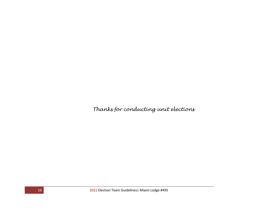Thanks for conducting unit elections